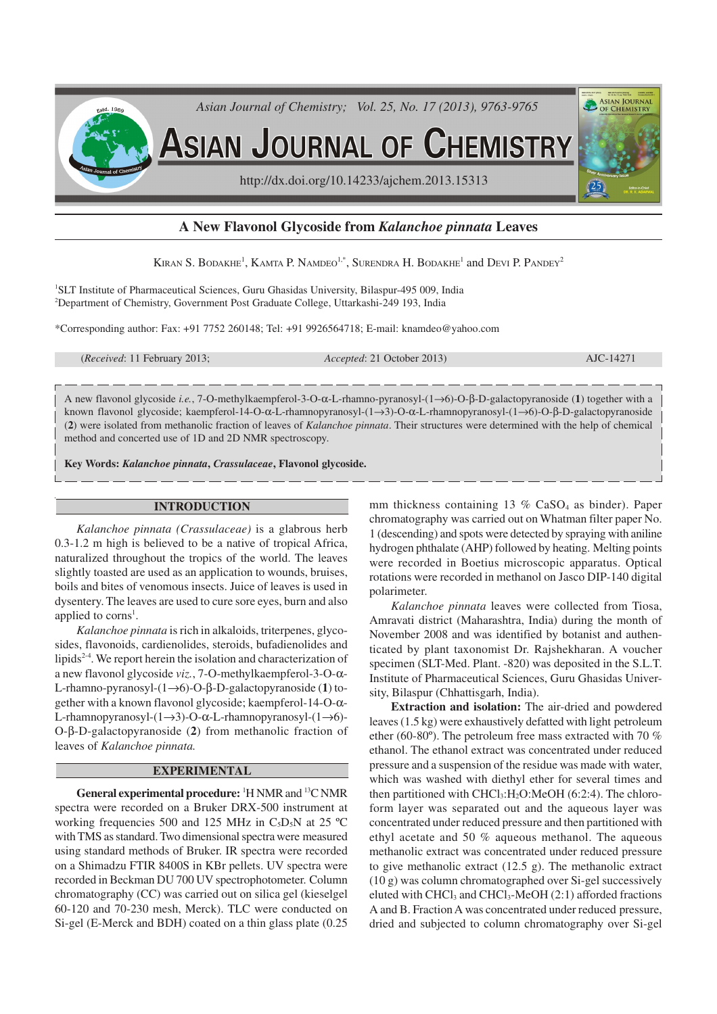

# **A New Flavonol Glycoside from** *Kalanchoe pinnata* **Leaves**

Kiran S. Bodakhe<sup>1</sup>, Kamta P. Namdeo<sup>1,\*</sup>, Surendra H. Bodakhe<sup>1</sup> and Devi P. Pandey<sup>2</sup>

<sup>1</sup>SLT Institute of Pharmaceutical Sciences, Guru Ghasidas University, Bilaspur-495 009, India <sup>2</sup>Department of Chemistry, Government Post Graduate College, Uttarkashi-249 193, India

\*Corresponding author: Fax: +91 7752 260148; Tel: +91 9926564718; E-mail: knamdeo@yahoo.com

(*Received*: 11 February 2013; *Accepted*: 21 October 2013) AJC-14271

A new flavonol glycoside *i.e.*, 7-O-methylkaempferol-3-O-α-L-rhamno-pyranosyl-(1→6)-O-β-D-galactopyranoside (**1**) together with a known flavonol glycoside; kaempferol-14-O-α-L-rhamnopyranosyl-(1→3)-O-α-L-rhamnopyranosyl-(1→6)-O-β-D-galactopyranoside (**2**) were isolated from methanolic fraction of leaves of *Kalanchoe pinnata*. Their structures were determined with the help of chemical method and concerted use of 1D and 2D NMR spectroscopy.

**Key Words:** *Kalanchoe pinnata***,** *Crassulaceae***, Flavonol glycoside.**

## **INTRODUCTION**

*Kalanchoe pinnata (Crassulaceae)* is a glabrous herb 0.3-1.2 m high is believed to be a native of tropical Africa, naturalized throughout the tropics of the world. The leaves slightly toasted are used as an application to wounds, bruises, boils and bites of venomous insects. Juice of leaves is used in dysentery. The leaves are used to cure sore eyes, burn and also applied to corns<sup>1</sup>.

*Kalanchoe pinnata* is rich in alkaloids, triterpenes, glycosides, flavonoids, cardienolides, steroids, bufadienolides and lipids<sup>2-4</sup>. We report herein the isolation and characterization of a new flavonol glycoside *viz.*, 7-O-methylkaempferol-3-O-α-L-rhamno-pyranosyl-(1→6)-O-β-D-galactopyranoside (**1**) together with a known flavonol glycoside; kaempferol-14-O-α-L-rhamnopyranosyl-(1→3)-O-α-L-rhamnopyranosyl-(1→6)- O-β-D-galactopyranoside (**2**) from methanolic fraction of leaves of *Kalanchoe pinnata.*

### **EXPERIMENTAL**

**General experimental procedure:** <sup>1</sup>H NMR and <sup>13</sup>C NMR spectra were recorded on a Bruker DRX-500 instrument at working frequencies 500 and 125 MHz in C<sub>5</sub>D<sub>5</sub>N at 25 °C with TMS as standard. Two dimensional spectra were measured using standard methods of Bruker. IR spectra were recorded on a Shimadzu FTIR 8400S in KBr pellets. UV spectra were recorded in Beckman DU 700 UV spectrophotometer. Column chromatography (CC) was carried out on silica gel (kieselgel 60-120 and 70-230 mesh, Merck). TLC were conducted on Si-gel (E-Merck and BDH) coated on a thin glass plate (0.25 mm thickness containing 13 % CaSO4 as binder). Paper chromatography was carried out on Whatman filter paper No. 1 (descending) and spots were detected by spraying with aniline hydrogen phthalate (AHP) followed by heating. Melting points were recorded in Boetius microscopic apparatus. Optical rotations were recorded in methanol on Jasco DIP-140 digital polarimeter.

*Kalanchoe pinnata* leaves were collected from Tiosa, Amravati district (Maharashtra, India) during the month of November 2008 and was identified by botanist and authenticated by plant taxonomist Dr. Rajshekharan. A voucher specimen (SLT-Med. Plant. -820) was deposited in the S.L.T. Institute of Pharmaceutical Sciences, Guru Ghasidas University, Bilaspur (Chhattisgarh, India).

**Extraction and isolation:** The air-dried and powdered leaves (1.5 kg) were exhaustively defatted with light petroleum ether (60-80º). The petroleum free mass extracted with 70 % ethanol. The ethanol extract was concentrated under reduced pressure and a suspension of the residue was made with water, which was washed with diethyl ether for several times and then partitioned with  $CHCl<sub>3</sub>:H<sub>2</sub>O:MeOH (6:2:4)$ . The chloroform layer was separated out and the aqueous layer was concentrated under reduced pressure and then partitioned with ethyl acetate and 50 % aqueous methanol. The aqueous methanolic extract was concentrated under reduced pressure to give methanolic extract (12.5 g). The methanolic extract (10 g) was column chromatographed over Si-gel successively eluted with CHCl<sub>3</sub> and CHCl<sub>3</sub>-MeOH  $(2:1)$  afforded fractions A and B. Fraction A was concentrated under reduced pressure, dried and subjected to column chromatography over Si-gel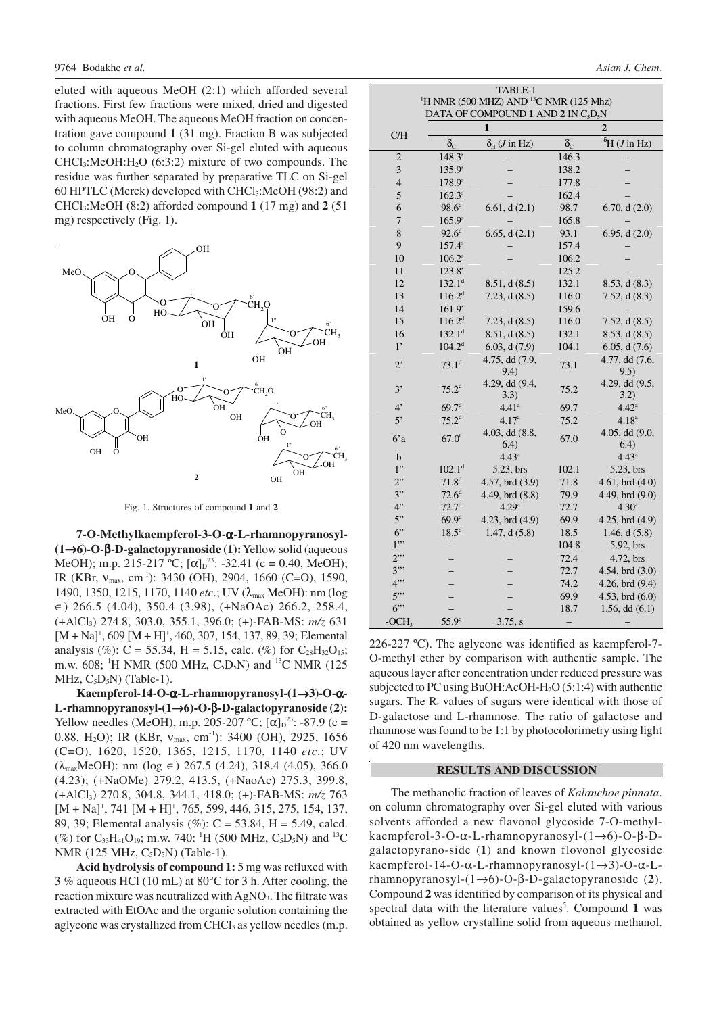eluted with aqueous MeOH (2:1) which afforded several fractions. First few fractions were mixed, dried and digested with aqueous MeOH. The aqueous MeOH fraction on concentration gave compound **1** (31 mg). Fraction B was subjected to column chromatography over Si-gel eluted with aqueous  $CHCl<sub>3</sub>:MeOH:H<sub>2</sub>O$  (6:3:2) mixture of two compounds. The residue was further separated by preparative TLC on Si-gel 60 HPTLC (Merck) developed with CHCl3:MeOH (98:2) and CHCl3:MeOH (8:2) afforded compound **1** (17 mg) and **2** (51 mg) respectively (Fig. 1).



Fig. 1. Structures of compound **1** and **2**

**7-O-Methylkaempferol-3-O-**α**-L-rhamnopyranosyl- (1**→**6)-O-**β**-D-galactopyranoside (1):** Yellow solid (aqueous MeOH); m.p. 215-217 °C;  $[\alpha]_D^{23}$ : -32.41 (c = 0.40, MeOH); IR (KBr, ν<sub>max</sub>, cm<sup>-1</sup>): 3430 (OH), 2904, 1660 (C=O), 1590, 1490, 1350, 1215, 1170, 1140 *etc*.; UV (λmax MeOH): nm (log ∈) 266.5 (4.04), 350.4 (3.98), (+NaOAc) 266.2, 258.4, (+AlCl3) 274.8, 303.0, 355.1, 396.0; (+)-FAB-MS: *m/z* 631  $[M + Na]$ <sup>+</sup>, 609  $[M + H]$ <sup>+</sup>, 460, 307, 154, 137, 89, 39; Elemental analysis (%): C = 55.34, H = 5.15, calc. (%) for  $C_{28}H_{32}O_{15}$ ; m.w. 608; <sup>1</sup>H NMR (500 MHz,  $C_5D_5N$ ) and <sup>13</sup>C NMR (125 MHz,  $C_5D_5N$ ) (Table-1).

**Kaempferol-14-O-**α**-L-rhamnopyranosyl-(1**→**3)-O-**α**-L-rhamnopyranosyl-(1**→**6)-O-**β**-D-galactopyranoside (2):** Yellow needles (MeOH), m.p. 205-207 °C;  $[\alpha]_D^{23}$ : -87.9 (c = 0.88, H<sub>2</sub>O); IR (KBr, ν<sub>max</sub>, cm<sup>-1</sup>): 3400 (OH), 2925, 1656 (C=O), 1620, 1520, 1365, 1215, 1170, 1140 *etc*.; UV  $(\lambda_{\text{max}} \text{MeOH})$ : nm (log  $\in$ ) 267.5 (4.24), 318.4 (4.05), 366.0 (4.23); (+NaOMe) 279.2, 413.5, (+NaoAc) 275.3, 399.8, (+AlCl3) 270.8, 304.8, 344.1, 418.0; (+)-FAB-MS: *m/z* 763  $[M + Na]$ <sup>+</sup>, 741  $[M + H]$ <sup>+</sup>, 765, 599, 446, 315, 275, 154, 137, 89, 39; Elemental analysis (%): C = 53.84, H = 5.49, calcd. (%) for  $C_{33}H_{41}O_{19}$ ; m.w. 740: <sup>1</sup>H (500 MHz,  $C_5D_5N$ ) and <sup>13</sup>C NMR (125 MHz, C<sub>5</sub>D<sub>5</sub>N) (Table-1).

**Acid hydrolysis of compound 1:** 5 mg was refluxed with 3 % aqueous HCl (10 mL) at 80°C for 3 h. After cooling, the reaction mixture was neutralized with AgNO<sub>3</sub>. The filtrate was extracted with EtOAc and the organic solution containing the aglycone was crystallized from CHCl<sub>3</sub> as yellow needles (m.p.

| TABLE-1<br><sup>1</sup> H NMR (500 MHZ) AND <sup>13</sup> C NMR (125 Mhz)<br>DATA OF COMPOUND 1 AND 2 IN C <sub>5</sub> D <sub>5</sub> N |                    |                                    |                  |                                   |  |
|------------------------------------------------------------------------------------------------------------------------------------------|--------------------|------------------------------------|------------------|-----------------------------------|--|
| C/H                                                                                                                                      |                    | 1                                  |                  | $\overline{2}$                    |  |
|                                                                                                                                          | $\delta_{\rm C}$   | $\delta_{\rm H}$ ( <i>J</i> in Hz) | $\delta_{\rm C}$ | ${}^{\delta}$ H ( <i>J</i> in Hz) |  |
| $\overline{2}$                                                                                                                           | $148.3^{s}$        |                                    | 146.3            |                                   |  |
| $\overline{\mathbf{3}}$                                                                                                                  | $135.9^s$          |                                    | 138.2            |                                   |  |
| $\overline{4}$                                                                                                                           | 178.9 <sup>s</sup> |                                    | 177.8            |                                   |  |
| 5                                                                                                                                        | $162.3^{s}$        |                                    | 162.4            |                                   |  |
| 6                                                                                                                                        | $98.6^d$           | 6.61, d(2.1)                       | 98.7             | 6.70, d(2.0)                      |  |
| 7                                                                                                                                        | $165.9^s$          |                                    | 165.8            |                                   |  |
| 8                                                                                                                                        | $92.6^{\rm d}$     | 6.65, d(2.1)                       | 93.1             | 6.95, d(2.0)                      |  |
| 9                                                                                                                                        | $157.4^s$          |                                    | 157.4            |                                   |  |
| 10                                                                                                                                       | $106.2^s$          |                                    | 106.2            |                                   |  |
| 11                                                                                                                                       | $123.8^{s}$        |                                    | 125.2            |                                   |  |
| 12                                                                                                                                       | 132.1 <sup>d</sup> | 8.51, d(8.5)                       | 132.1            | 8.53, d(8.3)                      |  |
| 13                                                                                                                                       | 116.2 <sup>d</sup> | 7.23, d(8.5)                       | 116.0            | 7.52, $d(8.3)$                    |  |
| 14                                                                                                                                       | 161.9 <sup>s</sup> |                                    | 159.6            |                                   |  |
| 15                                                                                                                                       | 116.2 <sup>d</sup> | 7.23, d(8.5)                       | 116.0            | 7.52, $d(8.5)$                    |  |
| 16                                                                                                                                       | $132.1^d$          | 8.51, d(8.5)                       | 132.1            | 8.53, d(8.5)                      |  |
| $1^{\circ}$                                                                                                                              | 104.2 <sup>d</sup> | 6.03, d(7.9)                       | 104.1            | 6.05, d(7.6)                      |  |
| $2^{\circ}$                                                                                                                              | 73.1 <sup>d</sup>  | 4.75, dd (7.9,<br>9.4)             | 73.1             | 4.77, dd (7.6,<br>9.5)            |  |
| 3'                                                                                                                                       | 75.2 <sup>d</sup>  | 4.29, dd (9.4,<br>3.3)             | 75.2             | 4.29, dd (9.5,<br>3.2)            |  |
| 4 <sup>2</sup>                                                                                                                           | 69.7 <sup>d</sup>  | 4.41 <sup>a</sup>                  | 69.7             | $4.42^{\circ}$                    |  |
| 5'                                                                                                                                       | $75.2^d$           | 4.17 <sup>a</sup>                  | 75.2             | 4.18 <sup>a</sup>                 |  |
| 6a                                                                                                                                       | $67.0^t$           | 4.03, dd (8.8,<br>(6.4)            | 67.0             | $4.05$ , dd $(9.0,$<br>(6.4)      |  |
| b                                                                                                                                        |                    | $4.43^a$                           |                  | $4.43^a$                          |  |
| 1"                                                                                                                                       | 102.1 <sup>d</sup> | 5.23, brs                          | 102.1            | 5.23, brs                         |  |
| 2"                                                                                                                                       | $71.8^{d}$         | 4.57, brd (3.9)                    | 71.8             | $4.61$ , brd $(4.0)$              |  |
| 3"                                                                                                                                       | $72.6^d$           | 4.49, brd (8.8)                    | 79.9             | 4.49, brd (9.0)                   |  |
| 4"                                                                                                                                       | 72.7 <sup>d</sup>  | 4.29 <sup>a</sup>                  | 72.7             | $4.30^{a}$                        |  |
| 5"                                                                                                                                       | 69.9 <sup>d</sup>  | 4.23, brd (4.9)                    | 69.9             | $4.25$ , brd $(4.9)$              |  |
| 6"                                                                                                                                       | $18.5^{\circ}$     | 1.47, d(5.8)                       | 18.5             | 1.46, $d(5.8)$                    |  |
| 1"                                                                                                                                       |                    |                                    | 104.8            | 5.92, brs                         |  |
| 2"                                                                                                                                       |                    |                                    | 72.4             | 4.72, brs                         |  |
| 3"                                                                                                                                       |                    |                                    | 72.7             | 4.54, brd $(3.0)$                 |  |
| 4"                                                                                                                                       |                    |                                    | 74.2             | 4.26, brd (9.4)                   |  |
| $5$ "                                                                                                                                    |                    |                                    | 69.9             | 4.53, brd $(6.0)$                 |  |
| 6"                                                                                                                                       |                    |                                    | 18.7             | $1.56$ , dd $(6.1)$               |  |
| $-OCH3$                                                                                                                                  | 55.9 <sup>q</sup>  | 3.75, s                            |                  |                                   |  |

226-227 ºC). The aglycone was identified as kaempferol-7- O-methyl ether by comparison with authentic sample. The aqueous layer after concentration under reduced pressure was subjected to PC using BuOH:AcOH-H2O (5:1:4) with authentic sugars. The  $R_f$  values of sugars were identical with those of D-galactose and L-rhamnose. The ratio of galactose and rhamnose was found to be 1:1 by photocolorimetry using light of 420 nm wavelengths.

#### **RESULTS AND DISCUSSION**

The methanolic fraction of leaves of *Kalanchoe pinnata*. on column chromatography over Si-gel eluted with various solvents afforded a new flavonol glycoside 7-O-methylkaempferol-3-O-α-L-rhamnopyranosyl-(1→6)-O-β-Dgalactopyrano-side (**1**) and known flovonol glycoside kaempferol-14-O-α-L-rhamnopyranosyl-(1→3)-O-α-Lrhamnopyranosyl-(1→6)-O-β-D-galactopyranoside (**2**). Compound **2** was identified by comparison of its physical and spectral data with the literature values<sup>5</sup>. Compound 1 was obtained as yellow crystalline solid from aqueous methanol.